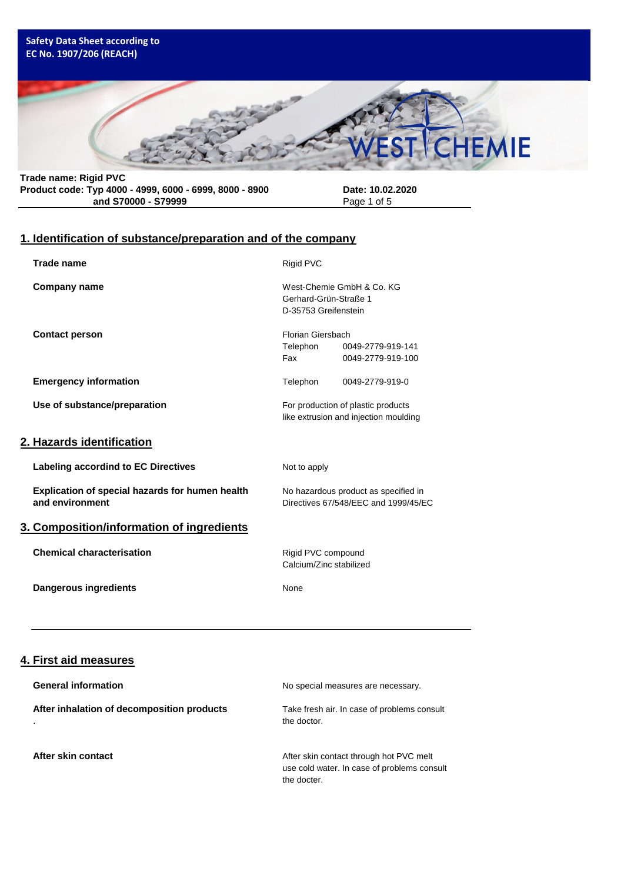### **Safety Data Sheet according to EC No. 1907/206 (REACH)**



**Trade name: Rigid PVC Product code: Typ 4000 - 4999, 6000 - 6999, 8000 - 8900 Date: 10.02.2020** and S70000 - S79999

# **1. Identification of substance/preparation and of the company**

| <b>Trade name</b>                                                  | Rigid PVC                                     |                                                                              |
|--------------------------------------------------------------------|-----------------------------------------------|------------------------------------------------------------------------------|
| <b>Company name</b>                                                | Gerhard-Grün-Straße 1<br>D-35753 Greifenstein | West-Chemie GmbH & Co. KG                                                    |
| <b>Contact person</b>                                              | Florian Giersbach<br>Telephon<br>Fax          | 0049-2779-919-141<br>0049-2779-919-100                                       |
| <b>Emergency information</b>                                       | Telephon                                      | 0049-2779-919-0                                                              |
| Use of substance/preparation                                       |                                               | For production of plastic products<br>like extrusion and injection moulding  |
| <u>2. Hazards identification</u>                                   |                                               |                                                                              |
| Labeling accordind to EC Directives                                | Not to apply                                  |                                                                              |
| Explication of special hazards for humen health<br>and environment |                                               | No hazardous product as specified in<br>Directives 67/548/EEC and 1999/45/EC |
| 3. Composition/information of ingredients                          |                                               |                                                                              |
| <b>Chemical characterisation</b>                                   | Rigid PVC compound<br>Calcium/Zinc stabilized |                                                                              |
| <b>Dangerous ingredients</b>                                       | None                                          |                                                                              |
|                                                                    |                                               |                                                                              |

## **4. First aid measures**

| <b>General information</b>                            | No special measures are necessary.                                                                    |
|-------------------------------------------------------|-------------------------------------------------------------------------------------------------------|
| After inhalation of decomposition products<br>$\cdot$ | Take fresh air. In case of problems consult<br>the doctor.                                            |
| After skin contact                                    | After skin contact through hot PVC melt<br>use cold water. In case of problems consult<br>the docter. |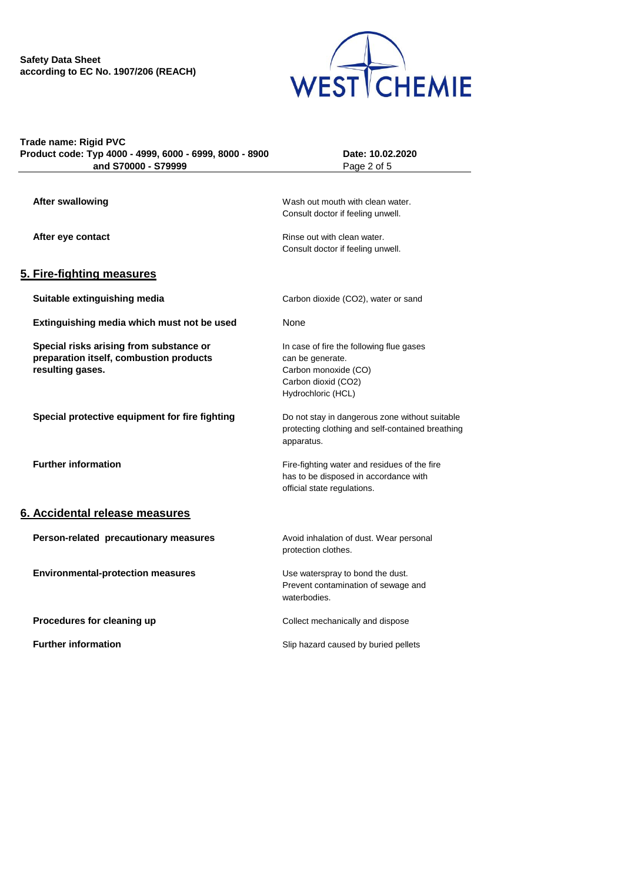

| Trade name: Rigid PVC                                   |
|---------------------------------------------------------|
| Product code: Typ 4000 - 4999, 6000 - 6999, 8000 - 8900 |
| and S70000 - S79999                                     |

**Product code: Typ 4000 - 4999, 6000 - 6999, 8000 - 8900 Date: 10.02.2020 Page 2 of 5** 

| <b>After swallowing</b>                        | Wash out mouth with clean water.                               |
|------------------------------------------------|----------------------------------------------------------------|
|                                                | Consult doctor if feeling unwell.                              |
| After eye contact                              | Rinse out with clean water.                                    |
|                                                | Consult doctor if feeling unwell.                              |
| 5. Fire-fighting measures                      |                                                                |
| Suitable extinguishing media                   | Carbon dioxide (CO2), water or sand                            |
| Extinguishing media which must not be used     | None                                                           |
| Special risks arising from substance or        | In case of fire the following flue gases                       |
| preparation itself, combustion products        | can be generate.                                               |
| resulting gases.                               | Carbon monoxide (CO)<br>Carbon dioxid (CO2)                    |
|                                                | Hydrochloric (HCL)                                             |
|                                                |                                                                |
| Special protective equipment for fire fighting | Do not stay in dangerous zone without suitable                 |
|                                                | protecting clothing and self-contained breathing<br>apparatus. |
| <b>Further information</b>                     | Fire-fighting water and residues of the fire                   |
|                                                | has to be disposed in accordance with                          |
|                                                | official state regulations.                                    |
| 6. Accidental release measures                 |                                                                |
| Person-related precautionary measures          | Avoid inhalation of dust. Wear personal                        |
|                                                | protection clothes.                                            |
| <b>Environmental-protection measures</b>       | Use waterspray to bond the dust.                               |
|                                                | Prevent contamination of sewage and                            |
|                                                | waterbodies.                                                   |
| Procedures for cleaning up                     | Collect mechanically and dispose                               |
| <b>Further information</b>                     | Slip hazard caused by buried pellets                           |
|                                                |                                                                |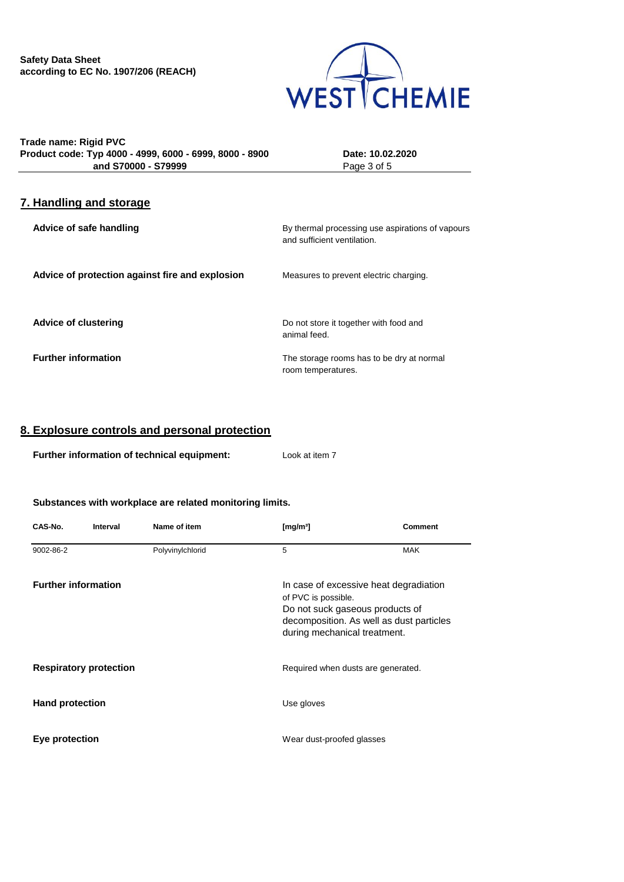

**Trade name: Rigid PVC Product code: Typ 4000 - 4999, 6000 - 6999, 8000 - 8900 Date: 10.02.2020 and S70000 - S79999** Page 3 of 5

## **7. Handling and storage**

| Advice of safe handling                         | By thermal processing use aspirations of vapours<br>and sufficient ventilation. |
|-------------------------------------------------|---------------------------------------------------------------------------------|
| Advice of protection against fire and explosion | Measures to prevent electric charging.                                          |
| <b>Advice of clustering</b>                     | Do not store it together with food and<br>animal feed.                          |
| <b>Further information</b>                      | The storage rooms has to be dry at normal<br>room temperatures.                 |

## **8. Explosure controls and personal protection**

| Further information of technical equipment: | Look at item 7 |
|---------------------------------------------|----------------|
|---------------------------------------------|----------------|

#### **Substances with workplace are related monitoring limits.**

| CAS-No.                    | Interval                      | Name of item                                                                           | [mg/m <sup>3</sup> ]                                                               | <b>Comment</b> |
|----------------------------|-------------------------------|----------------------------------------------------------------------------------------|------------------------------------------------------------------------------------|----------------|
| 9002-86-2                  |                               | Polyvinylchlorid                                                                       | 5                                                                                  | <b>MAK</b>     |
| <b>Further information</b> |                               | of PVC is possible.<br>Do not suck gaseous products of<br>during mechanical treatment. | In case of excessive heat degradiation<br>decomposition. As well as dust particles |                |
|                            | <b>Respiratory protection</b> |                                                                                        | Required when dusts are generated.                                                 |                |
| <b>Hand protection</b>     |                               |                                                                                        | Use gloves                                                                         |                |
| Eye protection             |                               |                                                                                        | Wear dust-proofed glasses                                                          |                |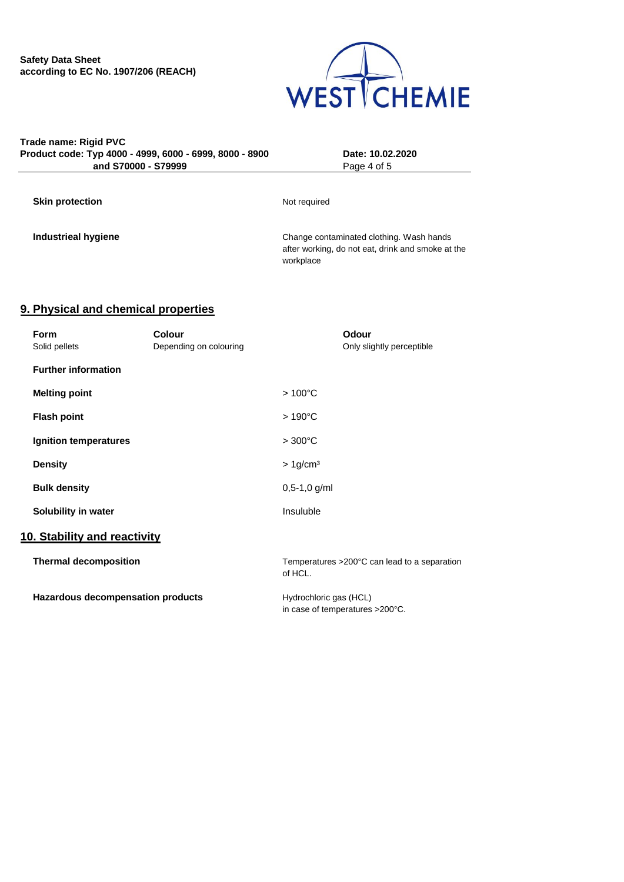

### **Trade name: Rigid PVC Product code: Typ 4000 - 4999, 6000 - 6999, 8000 - 8900 Date: 10.02.2020 and S70000 - S79999** Page 4 of 5

**Skin protection** Not required

**Industrieal hygiene** Change contaminated clothing. Wash hands after working, do not eat, drink and smoke at the workplace

## **9. Physical and chemical properties**

| <b>Form</b>                       | <b>Colour</b>          | Odour                                                   |
|-----------------------------------|------------------------|---------------------------------------------------------|
| Solid pellets                     | Depending on colouring | Only slightly perceptible                               |
| <b>Further information</b>        |                        |                                                         |
| <b>Melting point</b>              |                        | $>100^{\circ}$ C                                        |
| <b>Flash point</b>                |                        | $>190^{\circ}$ C                                        |
| Ignition temperatures             |                        | $>300^{\circ}$ C                                        |
| <b>Density</b>                    |                        | $> 1$ g/cm <sup>3</sup>                                 |
| <b>Bulk density</b>               |                        | $0,5-1,0$ g/ml                                          |
| Solubility in water               |                        | Insuluble                                               |
| 10. Stability and reactivity      |                        |                                                         |
| <b>Thermal decomposition</b>      |                        | Temperatures >200°C can lead to a separation<br>of HCL. |
| Hazardous decompensation products |                        | Hydrochloric gas (HCL)                                  |
|                                   |                        | in case of temperatures >200°C.                         |